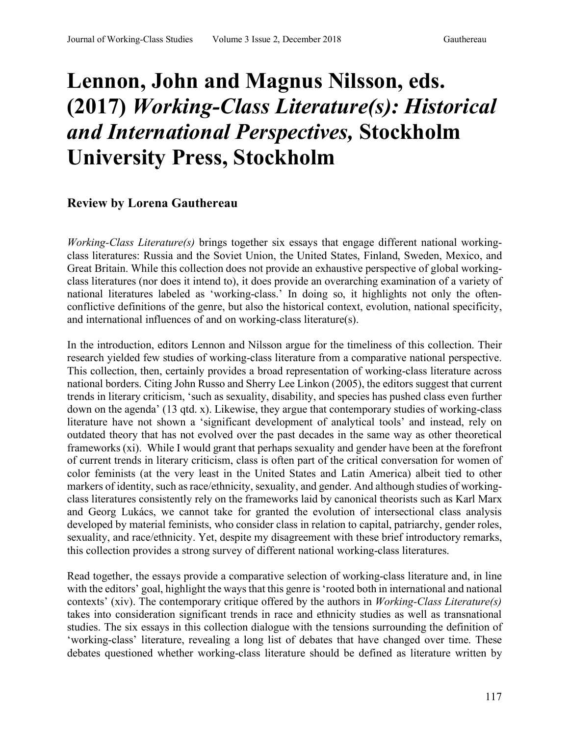## **Lennon, John and Magnus Nilsson, eds. (2017)** *Working-Class Literature(s): Historical and International Perspectives,* **Stockholm University Press, Stockholm**

## **Review by Lorena Gauthereau**

*Working-Class Literature(s)* brings together six essays that engage different national workingclass literatures: Russia and the Soviet Union, the United States, Finland, Sweden, Mexico, and Great Britain. While this collection does not provide an exhaustive perspective of global workingclass literatures (nor does it intend to), it does provide an overarching examination of a variety of national literatures labeled as 'working-class.' In doing so, it highlights not only the oftenconflictive definitions of the genre, but also the historical context, evolution, national specificity, and international influences of and on working-class literature(s).

In the introduction, editors Lennon and Nilsson argue for the timeliness of this collection. Their research yielded few studies of working-class literature from a comparative national perspective. This collection, then, certainly provides a broad representation of working-class literature across national borders. Citing John Russo and Sherry Lee Linkon (2005), the editors suggest that current trends in literary criticism, 'such as sexuality, disability, and species has pushed class even further down on the agenda' (13 qtd. x). Likewise, they argue that contemporary studies of working-class literature have not shown a 'significant development of analytical tools' and instead, rely on outdated theory that has not evolved over the past decades in the same way as other theoretical frameworks (xi). While I would grant that perhaps sexuality and gender have been at the forefront of current trends in literary criticism, class is often part of the critical conversation for women of color feminists (at the very least in the United States and Latin America) albeit tied to other markers of identity, such as race/ethnicity, sexuality, and gender. And although studies of workingclass literatures consistently rely on the frameworks laid by canonical theorists such as Karl Marx and Georg Lukács, we cannot take for granted the evolution of intersectional class analysis developed by material feminists, who consider class in relation to capital, patriarchy, gender roles, sexuality, and race/ethnicity. Yet, despite my disagreement with these brief introductory remarks, this collection provides a strong survey of different national working-class literatures.

Read together, the essays provide a comparative selection of working-class literature and, in line with the editors' goal, highlight the ways that this genre is 'rooted both in international and national contexts' (xiv). The contemporary critique offered by the authors in *Working-Class Literature(s)*  takes into consideration significant trends in race and ethnicity studies as well as transnational studies. The six essays in this collection dialogue with the tensions surrounding the definition of 'working-class' literature, revealing a long list of debates that have changed over time. These debates questioned whether working-class literature should be defined as literature written by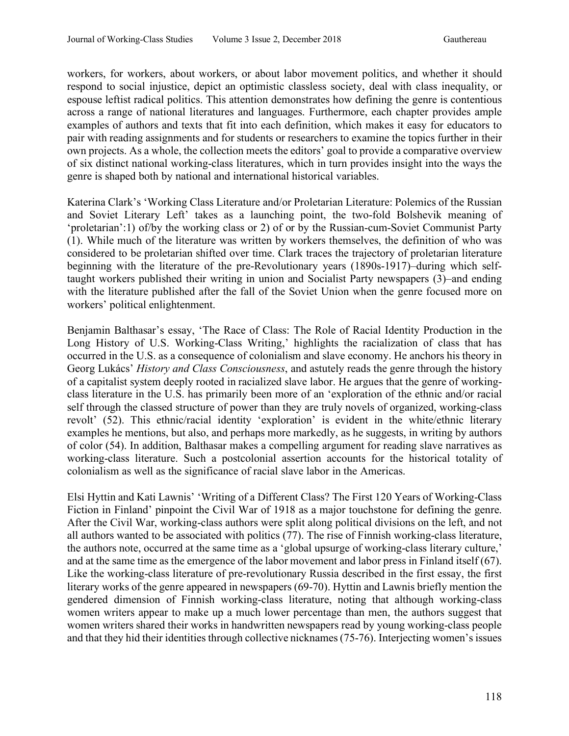workers, for workers, about workers, or about labor movement politics, and whether it should respond to social injustice, depict an optimistic classless society, deal with class inequality, or espouse leftist radical politics. This attention demonstrates how defining the genre is contentious across a range of national literatures and languages. Furthermore, each chapter provides ample examples of authors and texts that fit into each definition, which makes it easy for educators to pair with reading assignments and for students or researchers to examine the topics further in their own projects. As a whole, the collection meets the editors' goal to provide a comparative overview of six distinct national working-class literatures, which in turn provides insight into the ways the genre is shaped both by national and international historical variables.

Katerina Clark's 'Working Class Literature and/or Proletarian Literature: Polemics of the Russian and Soviet Literary Left' takes as a launching point, the two-fold Bolshevik meaning of 'proletarian':1) of/by the working class or 2) of or by the Russian-cum-Soviet Communist Party (1). While much of the literature was written by workers themselves, the definition of who was considered to be proletarian shifted over time. Clark traces the trajectory of proletarian literature beginning with the literature of the pre-Revolutionary years (1890s-1917)–during which selftaught workers published their writing in union and Socialist Party newspapers (3)–and ending with the literature published after the fall of the Soviet Union when the genre focused more on workers' political enlightenment.

Benjamin Balthasar's essay, 'The Race of Class: The Role of Racial Identity Production in the Long History of U.S. Working-Class Writing,' highlights the racialization of class that has occurred in the U.S. as a consequence of colonialism and slave economy. He anchors his theory in Georg Lukács' *History and Class Consciousness*, and astutely reads the genre through the history of a capitalist system deeply rooted in racialized slave labor. He argues that the genre of workingclass literature in the U.S. has primarily been more of an 'exploration of the ethnic and/or racial self through the classed structure of power than they are truly novels of organized, working-class revolt' (52). This ethnic/racial identity 'exploration' is evident in the white/ethnic literary examples he mentions, but also, and perhaps more markedly, as he suggests, in writing by authors of color (54). In addition, Balthasar makes a compelling argument for reading slave narratives as working-class literature. Such a postcolonial assertion accounts for the historical totality of colonialism as well as the significance of racial slave labor in the Americas.

Elsi Hyttin and Kati Lawnis' 'Writing of a Different Class? The First 120 Years of Working-Class Fiction in Finland' pinpoint the Civil War of 1918 as a major touchstone for defining the genre. After the Civil War, working-class authors were split along political divisions on the left, and not all authors wanted to be associated with politics (77). The rise of Finnish working-class literature, the authors note, occurred at the same time as a 'global upsurge of working-class literary culture,' and at the same time as the emergence of the labor movement and labor press in Finland itself (67). Like the working-class literature of pre-revolutionary Russia described in the first essay, the first literary works of the genre appeared in newspapers (69-70). Hyttin and Lawnis briefly mention the gendered dimension of Finnish working-class literature, noting that although working-class women writers appear to make up a much lower percentage than men, the authors suggest that women writers shared their works in handwritten newspapers read by young working-class people and that they hid their identities through collective nicknames (75-76). Interjecting women's issues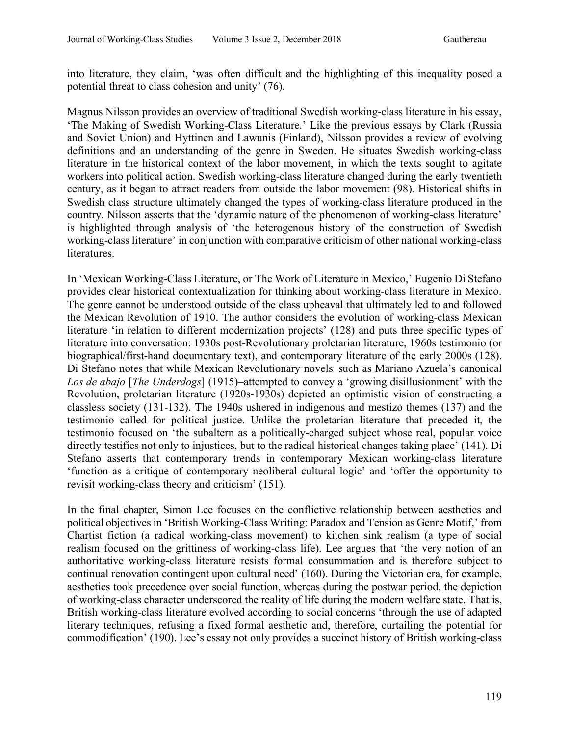into literature, they claim, 'was often difficult and the highlighting of this inequality posed a potential threat to class cohesion and unity' (76).

Magnus Nilsson provides an overview of traditional Swedish working-class literature in his essay, 'The Making of Swedish Working-Class Literature.' Like the previous essays by Clark (Russia and Soviet Union) and Hyttinen and Lawunis (Finland), Nilsson provides a review of evolving definitions and an understanding of the genre in Sweden. He situates Swedish working-class literature in the historical context of the labor movement, in which the texts sought to agitate workers into political action. Swedish working-class literature changed during the early twentieth century, as it began to attract readers from outside the labor movement (98). Historical shifts in Swedish class structure ultimately changed the types of working-class literature produced in the country. Nilsson asserts that the 'dynamic nature of the phenomenon of working-class literature' is highlighted through analysis of 'the heterogenous history of the construction of Swedish working-class literature' in conjunction with comparative criticism of other national working-class literatures.

In 'Mexican Working-Class Literature, or The Work of Literature in Mexico,' Eugenio Di Stefano provides clear historical contextualization for thinking about working-class literature in Mexico. The genre cannot be understood outside of the class upheaval that ultimately led to and followed the Mexican Revolution of 1910. The author considers the evolution of working-class Mexican literature 'in relation to different modernization projects' (128) and puts three specific types of literature into conversation: 1930s post-Revolutionary proletarian literature, 1960s testimonio (or biographical/first-hand documentary text), and contemporary literature of the early 2000s (128). Di Stefano notes that while Mexican Revolutionary novels–such as Mariano Azuela's canonical *Los de abajo* [*The Underdogs*] (1915)–attempted to convey a 'growing disillusionment' with the Revolution, proletarian literature (1920s-1930s) depicted an optimistic vision of constructing a classless society (131-132). The 1940s ushered in indigenous and mestizo themes (137) and the testimonio called for political justice. Unlike the proletarian literature that preceded it, the testimonio focused on 'the subaltern as a politically-charged subject whose real, popular voice directly testifies not only to injustices, but to the radical historical changes taking place' (141). Di Stefano asserts that contemporary trends in contemporary Mexican working-class literature 'function as a critique of contemporary neoliberal cultural logic' and 'offer the opportunity to revisit working-class theory and criticism' (151).

In the final chapter, Simon Lee focuses on the conflictive relationship between aesthetics and political objectives in 'British Working-Class Writing: Paradox and Tension as Genre Motif,' from Chartist fiction (a radical working-class movement) to kitchen sink realism (a type of social realism focused on the grittiness of working-class life). Lee argues that 'the very notion of an authoritative working-class literature resists formal consummation and is therefore subject to continual renovation contingent upon cultural need' (160). During the Victorian era, for example, aesthetics took precedence over social function, whereas during the postwar period, the depiction of working-class character underscored the reality of life during the modern welfare state. That is, British working-class literature evolved according to social concerns 'through the use of adapted literary techniques, refusing a fixed formal aesthetic and, therefore, curtailing the potential for commodification' (190). Lee's essay not only provides a succinct history of British working-class